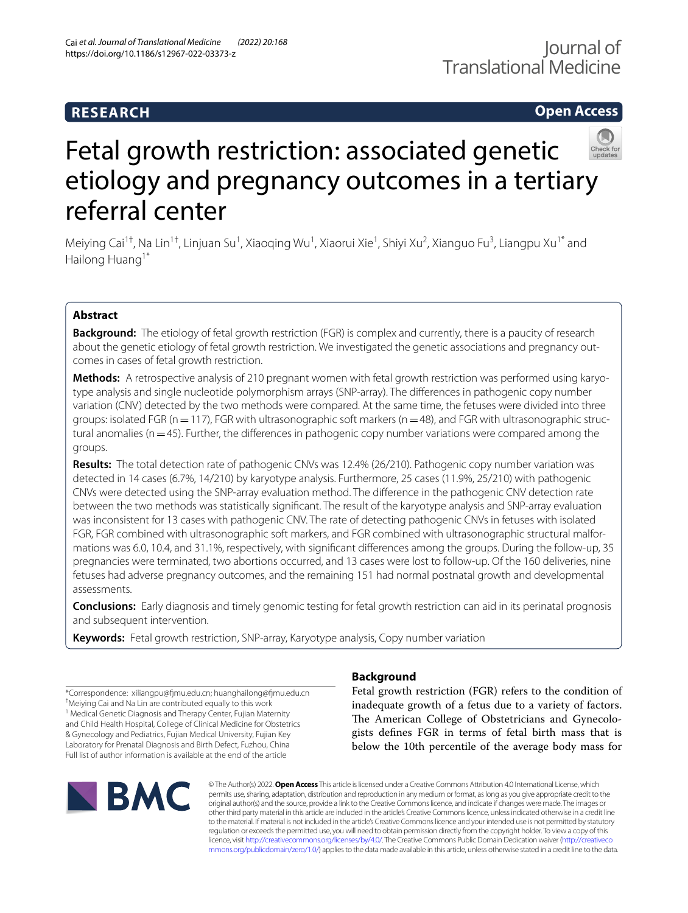# **RESEARCH**

# **Open Access**



# Fetal growth restriction: associated genetic etiology and pregnancy outcomes in a tertiary referral center

Meiying Cai<sup>1†</sup>, Na Lin<sup>1†</sup>, Linjuan Su<sup>1</sup>, Xiaoqing Wu<sup>1</sup>, Xiaorui Xie<sup>1</sup>, Shiyi Xu<sup>2</sup>, Xianguo Fu<sup>3</sup>, Liangpu Xu<sup>1\*</sup> and Hailong Huang<sup>1\*</sup>

# **Abstract**

**Background:** The etiology of fetal growth restriction (FGR) is complex and currently, there is a paucity of research about the genetic etiology of fetal growth restriction. We investigated the genetic associations and pregnancy outcomes in cases of fetal growth restriction.

**Methods:** A retrospective analysis of 210 pregnant women with fetal growth restriction was performed using karyotype analysis and single nucleotide polymorphism arrays (SNP-array). The diferences in pathogenic copy number variation (CNV) detected by the two methods were compared. At the same time, the fetuses were divided into three groups: isolated FGR ( $n=117$ ), FGR with ultrasonographic soft markers ( $n=48$ ), and FGR with ultrasonographic structural anomalies ( $n=45$ ). Further, the differences in pathogenic copy number variations were compared among the groups.

**Results:** The total detection rate of pathogenic CNVs was 12.4% (26/210). Pathogenic copy number variation was detected in 14 cases (6.7%, 14/210) by karyotype analysis. Furthermore, 25 cases (11.9%, 25/210) with pathogenic CNVs were detected using the SNP-array evaluation method. The diference in the pathogenic CNV detection rate between the two methods was statistically signifcant. The result of the karyotype analysis and SNP-array evaluation was inconsistent for 13 cases with pathogenic CNV. The rate of detecting pathogenic CNVs in fetuses with isolated FGR, FGR combined with ultrasonographic soft markers, and FGR combined with ultrasonographic structural malformations was 6.0, 10.4, and 31.1%, respectively, with signifcant diferences among the groups. During the follow-up, 35 pregnancies were terminated, two abortions occurred, and 13 cases were lost to follow-up. Of the 160 deliveries, nine fetuses had adverse pregnancy outcomes, and the remaining 151 had normal postnatal growth and developmental assessments.

**Conclusions:** Early diagnosis and timely genomic testing for fetal growth restriction can aid in its perinatal prognosis and subsequent intervention.

**Keywords:** Fetal growth restriction, SNP-array, Karyotype analysis, Copy number variation

\*Correspondence: xiliangpu@fmu.edu.cn; huanghailong@fmu.edu.cn † Meiying Cai and Na Lin are contributed equally to this work <sup>1</sup> Medical Genetic Diagnosis and Therapy Center, Fujian Maternity

and Child Health Hospital, College of Clinical Medicine for Obstetrics & Gynecology and Pediatrics, Fujian Medical University, Fujian Key Laboratory for Prenatal Diagnosis and Birth Defect, Fuzhou, China Full list of author information is available at the end of the article

# **BMC**

# **Background**

Fetal growth restriction (FGR) refers to the condition of inadequate growth of a fetus due to a variety of factors. The American College of Obstetricians and Gynecologists defnes FGR in terms of fetal birth mass that is below the 10th percentile of the average body mass for

© The Author(s) 2022. **Open Access** This article is licensed under a Creative Commons Attribution 4.0 International License, which permits use, sharing, adaptation, distribution and reproduction in any medium or format, as long as you give appropriate credit to the original author(s) and the source, provide a link to the Creative Commons licence, and indicate if changes were made. The images or other third party material in this article are included in the article's Creative Commons licence, unless indicated otherwise in a credit line to the material. If material is not included in the article's Creative Commons licence and your intended use is not permitted by statutory regulation or exceeds the permitted use, you will need to obtain permission directly from the copyright holder. To view a copy of this licence, visit [http://creativecommons.org/licenses/by/4.0/.](http://creativecommons.org/licenses/by/4.0/) The Creative Commons Public Domain Dedication waiver ([http://creativeco](http://creativecommons.org/publicdomain/zero/1.0/) [mmons.org/publicdomain/zero/1.0/](http://creativecommons.org/publicdomain/zero/1.0/)) applies to the data made available in this article, unless otherwise stated in a credit line to the data.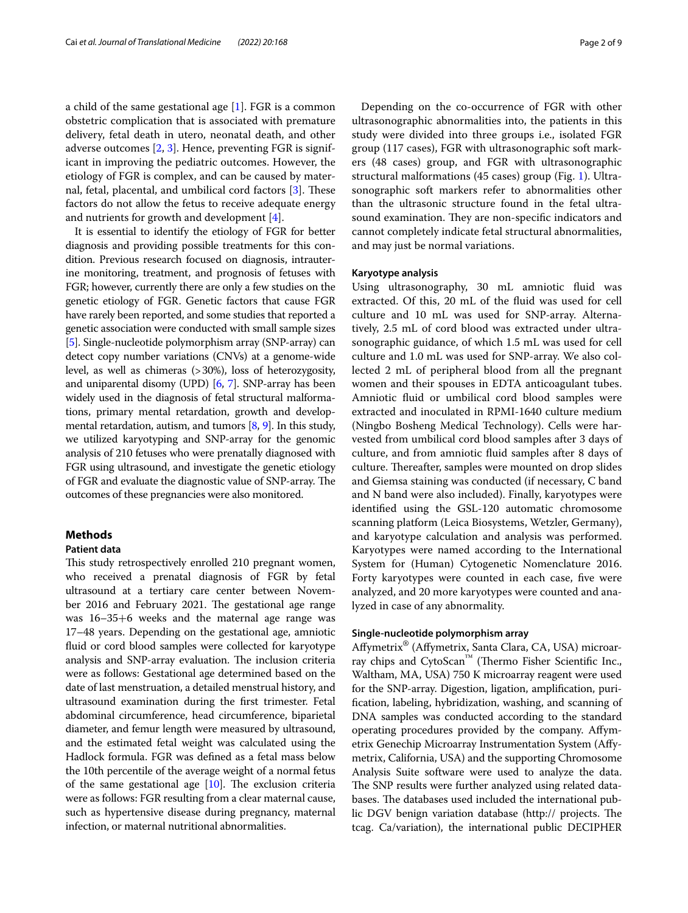a child of the same gestational age [\[1](#page-7-0)]. FGR is a common obstetric complication that is associated with premature delivery, fetal death in utero, neonatal death, and other adverse outcomes [\[2](#page-7-1), [3\]](#page-7-2). Hence, preventing FGR is significant in improving the pediatric outcomes. However, the etiology of FGR is complex, and can be caused by maternal, fetal, placental, and umbilical cord factors  $[3]$  $[3]$  $[3]$ . These factors do not allow the fetus to receive adequate energy and nutrients for growth and development [[4\]](#page-7-3).

It is essential to identify the etiology of FGR for better diagnosis and providing possible treatments for this condition. Previous research focused on diagnosis, intrauterine monitoring, treatment, and prognosis of fetuses with FGR; however, currently there are only a few studies on the genetic etiology of FGR. Genetic factors that cause FGR have rarely been reported, and some studies that reported a genetic association were conducted with small sample sizes [[5\]](#page-7-4). Single-nucleotide polymorphism array (SNP-array) can detect copy number variations (CNVs) at a genome-wide level, as well as chimeras (>30%), loss of heterozygosity, and uniparental disomy (UPD) [\[6,](#page-7-5) [7](#page-7-6)]. SNP-array has been widely used in the diagnosis of fetal structural malformations, primary mental retardation, growth and developmental retardation, autism, and tumors [\[8,](#page-7-7) [9](#page-7-8)]. In this study, we utilized karyotyping and SNP-array for the genomic analysis of 210 fetuses who were prenatally diagnosed with FGR using ultrasound, and investigate the genetic etiology of FGR and evaluate the diagnostic value of SNP-array. The outcomes of these pregnancies were also monitored.

#### **Methods**

#### **Patient data**

This study retrospectively enrolled 210 pregnant women, who received a prenatal diagnosis of FGR by fetal ultrasound at a tertiary care center between November 2016 and February 2021. The gestational age range was 16–35+6 weeks and the maternal age range was 17–48 years. Depending on the gestational age, amniotic fuid or cord blood samples were collected for karyotype analysis and SNP-array evaluation. The inclusion criteria were as follows: Gestational age determined based on the date of last menstruation, a detailed menstrual history, and ultrasound examination during the frst trimester. Fetal abdominal circumference, head circumference, biparietal diameter, and femur length were measured by ultrasound, and the estimated fetal weight was calculated using the Hadlock formula. FGR was defned as a fetal mass below the 10th percentile of the average weight of a normal fetus of the same gestational age  $[10]$  $[10]$ . The exclusion criteria were as follows: FGR resulting from a clear maternal cause, such as hypertensive disease during pregnancy, maternal infection, or maternal nutritional abnormalities.

Depending on the co-occurrence of FGR with other ultrasonographic abnormalities into, the patients in this study were divided into three groups i.e., isolated FGR group (117 cases), FGR with ultrasonographic soft markers (48 cases) group, and FGR with ultrasonographic structural malformations (45 cases) group (Fig. [1\)](#page-2-0). Ultrasonographic soft markers refer to abnormalities other than the ultrasonic structure found in the fetal ultrasound examination. They are non-specific indicators and cannot completely indicate fetal structural abnormalities, and may just be normal variations.

#### **Karyotype analysis**

Using ultrasonography, 30 mL amniotic fuid was extracted. Of this, 20 mL of the fuid was used for cell culture and 10 mL was used for SNP-array. Alternatively, 2.5 mL of cord blood was extracted under ultrasonographic guidance, of which 1.5 mL was used for cell culture and 1.0 mL was used for SNP-array. We also collected 2 mL of peripheral blood from all the pregnant women and their spouses in EDTA anticoagulant tubes. Amniotic fuid or umbilical cord blood samples were extracted and inoculated in RPMI-1640 culture medium (Ningbo Bosheng Medical Technology). Cells were harvested from umbilical cord blood samples after 3 days of culture, and from amniotic fuid samples after 8 days of culture. Thereafter, samples were mounted on drop slides and Giemsa staining was conducted (if necessary, C band and N band were also included). Finally, karyotypes were identifed using the GSL-120 automatic chromosome scanning platform (Leica Biosystems, Wetzler, Germany), and karyotype calculation and analysis was performed. Karyotypes were named according to the International System for (Human) Cytogenetic Nomenclature 2016. Forty karyotypes were counted in each case, fve were analyzed, and 20 more karyotypes were counted and analyzed in case of any abnormality.

#### **Single‑nucleotide polymorphism array**

Afymetrix® (Afymetrix, Santa Clara, CA, USA) microarray chips and CytoScan™ (Thermo Fisher Scientific Inc., Waltham, MA, USA) 750 K microarray reagent were used for the SNP-array. Digestion, ligation, amplifcation, purifcation, labeling, hybridization, washing, and scanning of DNA samples was conducted according to the standard operating procedures provided by the company. Afymetrix Genechip Microarray Instrumentation System (Afymetrix, California, USA) and the supporting Chromosome Analysis Suite software were used to analyze the data. The SNP results were further analyzed using related databases. The databases used included the international public DGV benign variation database (http:// projects. The tcag. Ca/variation), the international public DECIPHER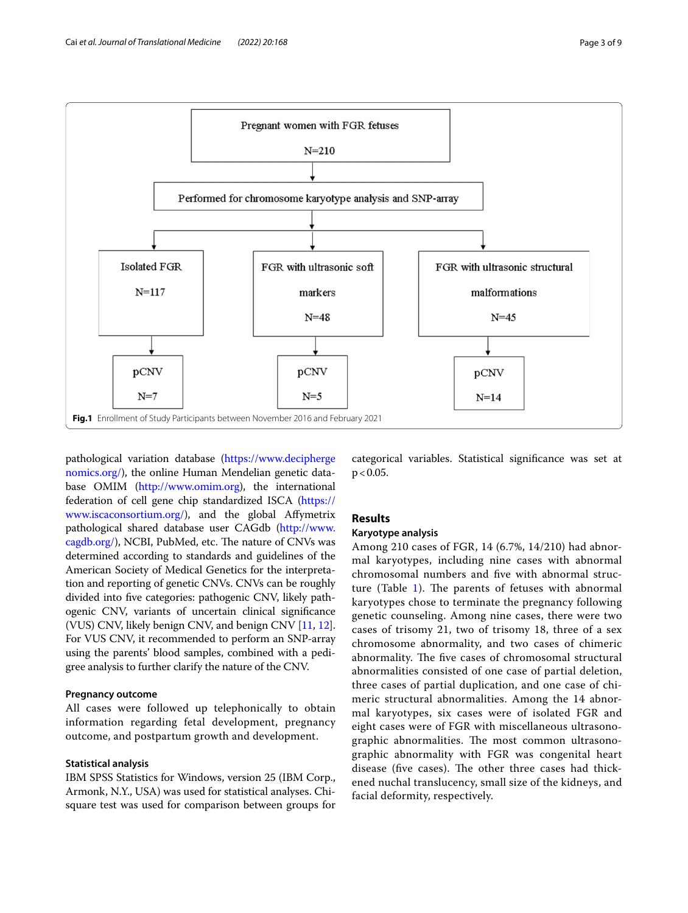

<span id="page-2-0"></span>pathological variation database [\(https://www.decipherge](https://www.deciphergenomics.org/) [nomics.org/\)](https://www.deciphergenomics.org/), the online Human Mendelian genetic database OMIM [\(http://www.omim.org](http://www.omim.org)), the international federation of cell gene chip standardized ISCA ([https://](https://www.iscaconsortium.org/) [www.iscaconsortium.org/\)](https://www.iscaconsortium.org/), and the global Afymetrix pathological shared database user CAGdb [\(http://www.](http://www.cagdb.org/) [cagdb.org/](http://www.cagdb.org/)), NCBI, PubMed, etc. The nature of CNVs was determined according to standards and guidelines of the American Society of Medical Genetics for the interpretation and reporting of genetic CNVs. CNVs can be roughly divided into fve categories: pathogenic CNV, likely pathogenic CNV, variants of uncertain clinical signifcance (VUS) CNV, likely benign CNV, and benign CNV [\[11,](#page-8-1) [12](#page-8-2)]. For VUS CNV, it recommended to perform an SNP-array using the parents' blood samples, combined with a pedigree analysis to further clarify the nature of the CNV.

#### **Pregnancy outcome**

All cases were followed up telephonically to obtain information regarding fetal development, pregnancy outcome, and postpartum growth and development.

#### **Statistical analysis**

IBM SPSS Statistics for Windows, version 25 (IBM Corp., Armonk, N.Y., USA) was used for statistical analyses. Chisquare test was used for comparison between groups for categorical variables. Statistical signifcance was set at  $p < 0.05$ .

### **Results**

#### **Karyotype analysis**

Among 210 cases of FGR, 14 (6.7%, 14/210) had abnormal karyotypes, including nine cases with abnormal chromosomal numbers and fve with abnormal structure (Table  $1$ ). The parents of fetuses with abnormal karyotypes chose to terminate the pregnancy following genetic counseling. Among nine cases, there were two cases of trisomy 21, two of trisomy 18, three of a sex chromosome abnormality, and two cases of chimeric abnormality. The five cases of chromosomal structural abnormalities consisted of one case of partial deletion, three cases of partial duplication, and one case of chimeric structural abnormalities. Among the 14 abnormal karyotypes, six cases were of isolated FGR and eight cases were of FGR with miscellaneous ultrasonographic abnormalities. The most common ultrasonographic abnormality with FGR was congenital heart disease (five cases). The other three cases had thickened nuchal translucency, small size of the kidneys, and facial deformity, respectively.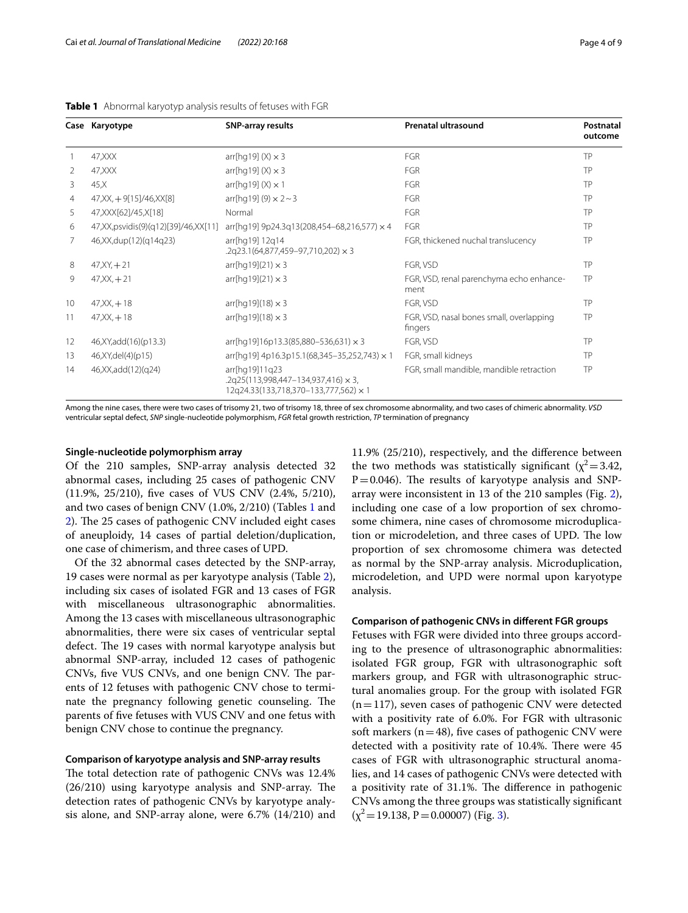|    | Case Karyotype                                | <b>SNP-array results</b>                                                                              | Prenatal ultrasound                                 | Postnatal<br>outcome<br>TP |  |
|----|-----------------------------------------------|-------------------------------------------------------------------------------------------------------|-----------------------------------------------------|----------------------------|--|
|    | 47, XXX                                       | $arr[hq19] (X) \times 3$                                                                              | <b>FGR</b>                                          |                            |  |
| 2  | 47, XXX                                       | $arr[hq19] (X) \times 3$                                                                              | <b>FGR</b>                                          | TP                         |  |
| 3  | 45,X                                          | arr[hq19] $(X) \times 1$                                                                              | <b>FGR</b>                                          | TP                         |  |
| 4  | $47,XX, +9[15]/46,XX[8]$                      | $arr[hq19] (9) \times 2 \sim 3$                                                                       | <b>FGR</b>                                          | TP                         |  |
| 5. | 47, XXX [62] / 45, X [18]                     | Normal                                                                                                | FGR                                                 | TP                         |  |
| 6  | 47, XX, ps vidis (9) (q12) [39] / 46, XX [11] | arr[hq19] 9p24.3q13(208,454-68,216,577) × 4                                                           | <b>FGR</b>                                          | TP                         |  |
|    | 46, XX, dup(12) (q14q23)                      | arr[hq19] 12q14<br>.2q23.1(64,877,459-97,710,202) × 3                                                 | FGR, thickened nuchal translucency                  | TP                         |  |
| 8  | $47, XY, +21$                                 | arr[hq19](21) $\times$ 3                                                                              | FGR, VSD                                            | TP                         |  |
| 9  | $47, XX, +21$                                 | $arr[hq19](21) \times 3$                                                                              | FGR, VSD, renal parenchyma echo enhance-<br>ment    | TP                         |  |
| 10 | $47, XX, +18$                                 | arr[hq19](18) $\times$ 3                                                                              | FGR, VSD                                            | TP                         |  |
| 11 | $47, XX, +18$                                 | arr[hq19](18) $\times$ 3                                                                              | FGR, VSD, nasal bones small, overlapping<br>fingers | TP                         |  |
| 12 | 46, XY, add (16) (p13.3)                      | $arr[hq19]16p13.3(85,880-536,631) \times 3$                                                           | FGR, VSD                                            | TP                         |  |
| 13 | 46, XY, del(4)(p15)                           | $\ar[rln(19)]$ 4p16.3p15.1(68,345-35,252,743) × 1                                                     | FGR, small kidneys                                  | TP                         |  |
| 14 | 46, XX, add (12) (q24)                        | arr[hq19]11q23<br>$.2q25(113,998,447-134,937,416) \times 3.$<br>12q24.33(133,718,370-133,777,562) × 1 | FGR, small mandible, mandible retraction            | TP                         |  |

#### <span id="page-3-0"></span>**Table 1** Abnormal karyotyp analysis results of fetuses with FGR

Among the nine cases, there were two cases of trisomy 21, two of trisomy 18, three of sex chromosome abnormality, and two cases of chimeric abnormality. *VSD* ventricular septal defect, *SNP* single-nucleotide polymorphism, *FGR* fetal growth restriction, *TP* termination of pregnancy

#### **Single‑nucleotide polymorphism array**

Of the 210 samples, SNP-array analysis detected 32 abnormal cases, including 25 cases of pathogenic CNV (11.9%, 25/210), fve cases of VUS CNV (2.4%, 5/210), and two cases of benign CNV (1.0%, 2/210) (Tables [1](#page-3-0) and [2\)](#page-4-0). The 25 cases of pathogenic CNV included eight cases of aneuploidy, 14 cases of partial deletion/duplication, one case of chimerism, and three cases of UPD.

Of the 32 abnormal cases detected by the SNP-array, 19 cases were normal as per karyotype analysis (Table [2](#page-4-0)), including six cases of isolated FGR and 13 cases of FGR with miscellaneous ultrasonographic abnormalities. Among the 13 cases with miscellaneous ultrasonographic abnormalities, there were six cases of ventricular septal defect. The 19 cases with normal karyotype analysis but abnormal SNP-array, included 12 cases of pathogenic CNVs, five VUS CNVs, and one benign CNV. The parents of 12 fetuses with pathogenic CNV chose to terminate the pregnancy following genetic counseling. The parents of fve fetuses with VUS CNV and one fetus with benign CNV chose to continue the pregnancy.

#### **Comparison of karyotype analysis and SNP‑array results**

The total detection rate of pathogenic CNVs was 12.4%  $(26/210)$  using karyotype analysis and SNP-array. The detection rates of pathogenic CNVs by karyotype analysis alone, and SNP-array alone, were 6.7% (14/210) and

11.9% (25/210), respectively, and the diference between the two methods was statistically significant ( $\chi^2$  = 3.42,  $P=0.046$ ). The results of karyotype analysis and SNParray were inconsistent in 13 of the 210 samples (Fig. [2](#page-5-0)), including one case of a low proportion of sex chromosome chimera, nine cases of chromosome microduplication or microdeletion, and three cases of UPD. The low proportion of sex chromosome chimera was detected as normal by the SNP-array analysis. Microduplication, microdeletion, and UPD were normal upon karyotype analysis.

#### **Comparison of pathogenic CNVs in diferent FGR groups**

Fetuses with FGR were divided into three groups according to the presence of ultrasonographic abnormalities: isolated FGR group, FGR with ultrasonographic soft markers group, and FGR with ultrasonographic structural anomalies group. For the group with isolated FGR  $(n=117)$ , seven cases of pathogenic CNV were detected with a positivity rate of 6.0%. For FGR with ultrasonic soft markers ( $n=48$ ), five cases of pathogenic CNV were detected with a positivity rate of 10.4%. There were 45 cases of FGR with ultrasonographic structural anomalies, and 14 cases of pathogenic CNVs were detected with a positivity rate of 31.1%. The difference in pathogenic CNVs among the three groups was statistically signifcant  $(\chi^2 = 19.138, P = 0.00007)$  (Fig. [3\)](#page-5-1).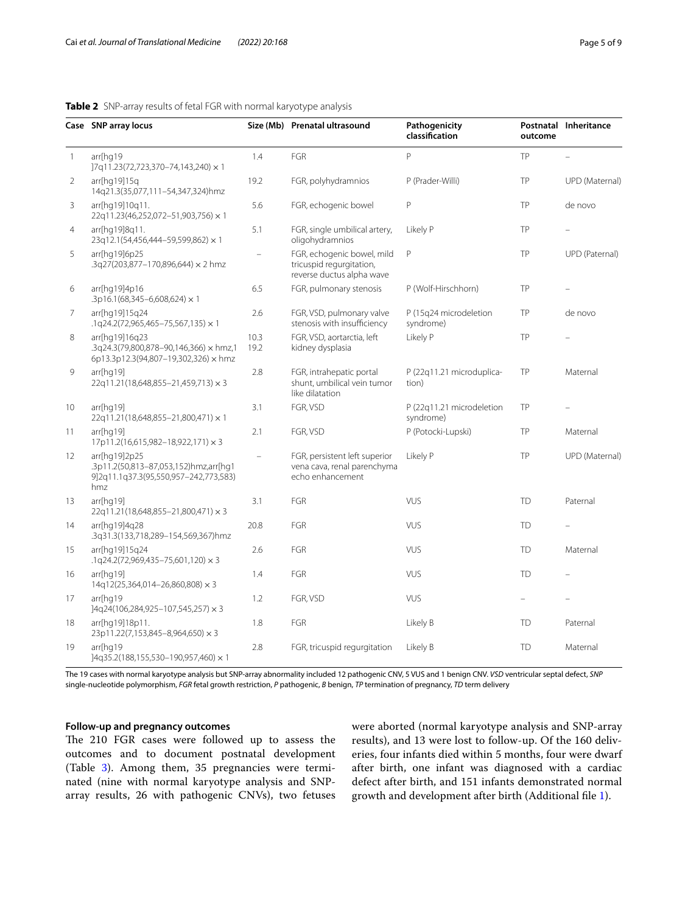#### <span id="page-4-0"></span>**Table 2** SNP-array results of fetal FGR with normal karyotype analysis

|                | Case SNP array locus                                                                                   |                                                                                  | Size (Mb) Prenatal ultrasound                                                       | Pathogenicity<br>classification        | outcome<br>TP                            | Postnatal Inheritance |
|----------------|--------------------------------------------------------------------------------------------------------|----------------------------------------------------------------------------------|-------------------------------------------------------------------------------------|----------------------------------------|------------------------------------------|-----------------------|
| $\overline{1}$ | arr[hq19<br>]7q11.23(72,723,370-74,143,240) × 1                                                        | 1.4                                                                              | FGR                                                                                 | P                                      |                                          |                       |
| 2              | arr[hq19]15q<br>14q21.3(35,077,111-54,347,324)hmz                                                      | 19.2                                                                             | FGR, polyhydramnios                                                                 | P (Prader-Willi)                       | TP                                       | UPD (Maternal)        |
| 3              | arr[hq19]10q11.<br>22q11.23(46,252,072-51,903,756) × 1                                                 | 5.6                                                                              | FGR, echogenic bowel                                                                | P                                      | TP                                       | de novo               |
| 4              | arr[hq19]8q11.<br>23q12.1(54,456,444-59,599,862) × 1                                                   | 5.1                                                                              | FGR, single umbilical artery,<br>oligohydramnios                                    | Likely P                               | TP                                       |                       |
| 5              | arr[hq19]6p25<br>.3q27(203,877-170,896,644) × 2 hmz                                                    |                                                                                  | FGR, echogenic bowel, mild<br>tricuspid regurgitation,<br>reverse ductus alpha wave | P                                      | TP                                       | UPD (Paternal)        |
| 6              | arr[hq19]4p16<br>.3p16.1(68,345-6,608,624) $\times$ 1                                                  | 6.5                                                                              | FGR, pulmonary stenosis                                                             | P (Wolf-Hirschhorn)                    | TP                                       |                       |
| 7              | arr[hq19]15q24<br>$.1q24.2(72,965,465-75,567,135) \times 1$                                            | 2.6                                                                              | FGR, VSD, pulmonary valve<br>stenosis with insufficiency                            | P (15q24 microdeletion<br>syndrome)    | TP                                       | de novo               |
| 8              | arr[hq19]16q23<br>.3q24.3(79,800,878-90,146,366) × hmz,1<br>6p13.3p12.3(94,807-19,302,326) × hmz       | 10.3<br>19.2                                                                     | FGR, VSD, aortarctia, left<br>kidney dysplasia                                      | Likely P                               | TP                                       |                       |
| 9              | arr[hq19]<br>22q11.21(18,648,855-21,459,713) × 3                                                       | 2.8                                                                              | FGR, intrahepatic portal<br>shunt, umbilical vein tumor<br>like dilatation          | P (22q11.21 microduplica-<br>tion)     | TP                                       | Maternal              |
| 10             | arr[hq19]<br>22q11.21(18,648,855-21,800,471) × 1                                                       | 3.1                                                                              | FGR, VSD                                                                            | P (22q11.21 microdeletion<br>syndrome) | TP                                       |                       |
| 11             | arr[hq19]<br>17p11.2(16,615,982-18,922,171) × 3                                                        | 2.1                                                                              | FGR, VSD                                                                            | P (Potocki-Lupski)                     | TP                                       | Maternal              |
| 12             | arr[hq19]2p25<br>.3p11.2(50,813-87,053,152)hmz,arr[hq1<br>9]2q11.1q37.3(95,550,957-242,773,583)<br>hmz | FGR, persistent left superior<br>vena cava, renal parenchyma<br>echo enhancement |                                                                                     | Likely P                               | TP                                       | UPD (Maternal)        |
| 13             | arr[hq19]<br>22q11.21(18,648,855-21,800,471) × 3                                                       | 3.1                                                                              | FGR                                                                                 | <b>VUS</b>                             | <b>TD</b>                                | Paternal              |
| 14             | arr[hq19]4q28<br>.3q31.3(133,718,289-154,569,367)hmz                                                   | 20.8                                                                             | FGR                                                                                 | <b>VUS</b>                             | <b>TD</b><br><b>TD</b><br>Maternal<br>TD |                       |
| 15             | arr[hq19]15q24<br>$.1q24.2(72,969,435-75,601,120) \times 3$                                            | 2.6                                                                              | FGR                                                                                 | <b>VUS</b>                             |                                          |                       |
| 16             | arr[hq19]<br>14q12(25,364,014-26,860,808) × 3                                                          | 1.4                                                                              | FGR                                                                                 | <b>VUS</b>                             |                                          |                       |
| 17             | arr[hq19<br>]4q24(106,284,925-107,545,257) × 3                                                         | 1.2                                                                              | FGR, VSD                                                                            | VUS                                    |                                          |                       |
| 18             | arr[hq19]18p11.<br>23p11.22(7,153,845-8,964,650) × 3                                                   | 1.8                                                                              | FGR                                                                                 | Likely B                               | <b>TD</b>                                | Paternal              |
| 19             | arr[hq19<br>]4q35.2(188,155,530-190,957,460) × 1                                                       | 2.8                                                                              | FGR, tricuspid regurgitation                                                        | Likely B                               | <b>TD</b>                                | Maternal              |

The 19 cases with normal karyotype analysis but SNP-array abnormality included 12 pathogenic CNV, 5 VUS and 1 benign CNV. *VSD* ventricular septal defect, *SNP* single-nucleotide polymorphism, *FGR* fetal growth restriction, *P* pathogenic, *B* benign, *TP* termination of pregnancy, *TD* term delivery

#### **Follow‑up and pregnancy outcomes**

The 210 FGR cases were followed up to assess the outcomes and to document postnatal development (Table [3\)](#page-6-0). Among them, 35 pregnancies were terminated (nine with normal karyotype analysis and SNParray results, 26 with pathogenic CNVs), two fetuses were aborted (normal karyotype analysis and SNP-array results), and 13 were lost to follow-up. Of the 160 deliveries, four infants died within 5 months, four were dwarf after birth, one infant was diagnosed with a cardiac defect after birth, and 151 infants demonstrated normal growth and development after birth (Additional fle [1\)](#page-7-9).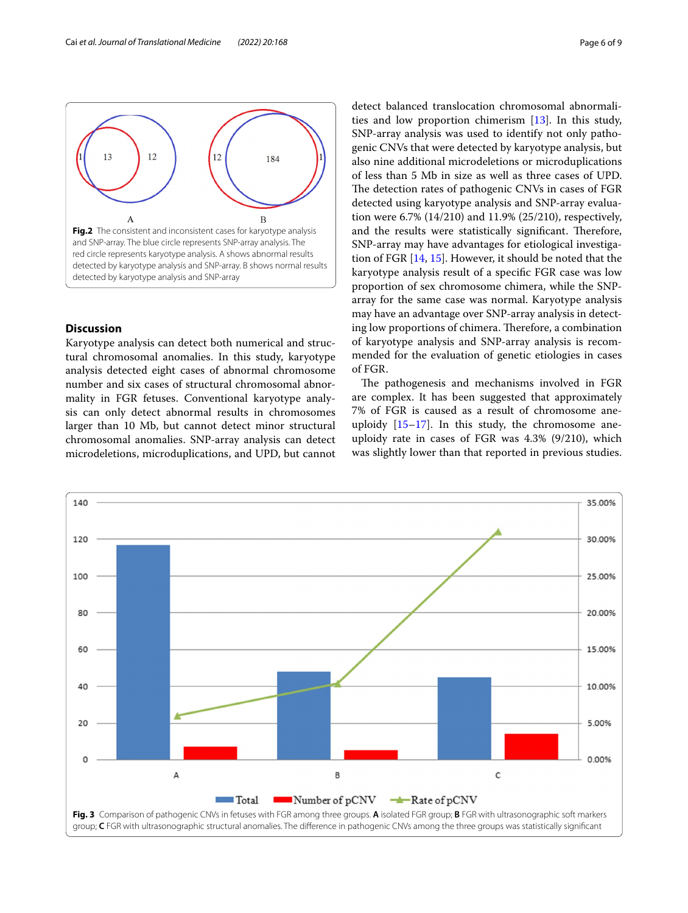

#### <span id="page-5-0"></span>**Discussion**

Karyotype analysis can detect both numerical and structural chromosomal anomalies. In this study, karyotype analysis detected eight cases of abnormal chromosome number and six cases of structural chromosomal abnormality in FGR fetuses. Conventional karyotype analysis can only detect abnormal results in chromosomes larger than 10 Mb, but cannot detect minor structural chromosomal anomalies. SNP-array analysis can detect microdeletions, microduplications, and UPD, but cannot

detect balanced translocation chromosomal abnormalities and low proportion chimerism [[13](#page-8-3)]. In this study, SNP-array analysis was used to identify not only pathogenic CNVs that were detected by karyotype analysis, but also nine additional microdeletions or microduplications of less than 5 Mb in size as well as three cases of UPD. The detection rates of pathogenic CNVs in cases of FGR detected using karyotype analysis and SNP-array evaluation were 6.7% (14/210) and 11.9% (25/210), respectively, and the results were statistically significant. Therefore, SNP-array may have advantages for etiological investigation of FGR [\[14,](#page-8-4) [15](#page-8-5)]. However, it should be noted that the karyotype analysis result of a specifc FGR case was low proportion of sex chromosome chimera, while the SNParray for the same case was normal. Karyotype analysis may have an advantage over SNP-array analysis in detecting low proportions of chimera. Therefore, a combination of karyotype analysis and SNP-array analysis is recommended for the evaluation of genetic etiologies in cases of FGR.

The pathogenesis and mechanisms involved in FGR are complex. It has been suggested that approximately 7% of FGR is caused as a result of chromosome aneuploidy  $[15-17]$  $[15-17]$  $[15-17]$ . In this study, the chromosome aneuploidy rate in cases of FGR was 4.3% (9/210), which was slightly lower than that reported in previous studies.

<span id="page-5-1"></span>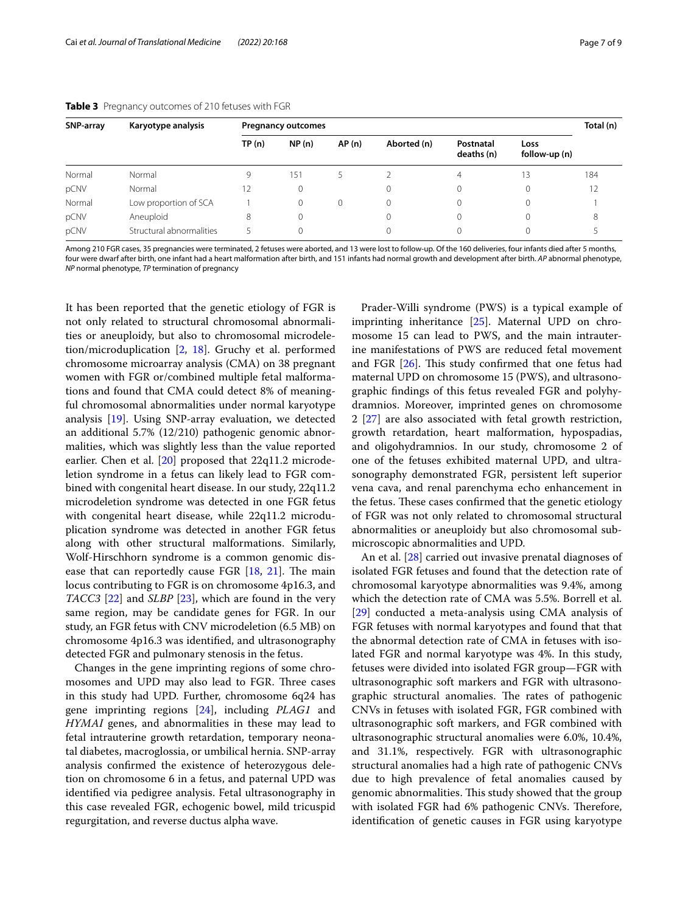| SNP-array | Karyotype analysis       | <b>Pregnancy outcomes</b> |          |       |             |                         | Total (n)             |     |
|-----------|--------------------------|---------------------------|----------|-------|-------------|-------------------------|-----------------------|-----|
|           |                          | TP(n)                     | NP(n)    | AP(n) | Aborted (n) | Postnatal<br>deaths (n) | Loss<br>follow-up (n) |     |
| Normal    | Normal                   | 9                         | 151      | 5.    |             | 4                       | 13                    | 184 |
| pCNV      | Normal                   | 12                        | 0        |       | 0           |                         | 0                     | 12  |
| Normal    | Low proportion of SCA    |                           | $\Omega$ | 0     | 0           |                         | 0                     |     |
| pCNV      | Aneuploid                | 8                         | $\Omega$ |       |             |                         | 0                     | 8   |
| pCNV      | Structural abnormalities |                           |          |       |             |                         | 0                     |     |

#### <span id="page-6-0"></span>**Table 3** Pregnancy outcomes of 210 fetuses with FGR

Among 210 FGR cases, 35 pregnancies were terminated, 2 fetuses were aborted, and 13 were lost to follow-up. Of the 160 deliveries, four infants died after 5 months, four were dwarf after birth, one infant had a heart malformation after birth, and 151 infants had normal growth and development after birth. *AP* abnormal phenotype, *NP* normal phenotype, *TP* termination of pregnancy

It has been reported that the genetic etiology of FGR is not only related to structural chromosomal abnormalities or aneuploidy, but also to chromosomal microdeletion/microduplication [\[2,](#page-7-1) [18](#page-8-7)]. Gruchy et al. performed chromosome microarray analysis (CMA) on 38 pregnant women with FGR or/combined multiple fetal malformations and found that CMA could detect 8% of meaningful chromosomal abnormalities under normal karyotype analysis [\[19\]](#page-8-8). Using SNP-array evaluation, we detected an additional 5.7% (12/210) pathogenic genomic abnormalities, which was slightly less than the value reported earlier. Chen et al. [[20\]](#page-8-9) proposed that 22q11.2 microdeletion syndrome in a fetus can likely lead to FGR combined with congenital heart disease. In our study, 22q11.2 microdeletion syndrome was detected in one FGR fetus with congenital heart disease, while 22q11.2 microduplication syndrome was detected in another FGR fetus along with other structural malformations. Similarly, Wolf-Hirschhorn syndrome is a common genomic disease that can reportedly cause FGR  $[18, 21]$  $[18, 21]$  $[18, 21]$  $[18, 21]$ . The main locus contributing to FGR is on chromosome 4p16.3, and *TACC3* [\[22](#page-8-11)] and *SLBP* [\[23\]](#page-8-12), which are found in the very same region, may be candidate genes for FGR. In our study, an FGR fetus with CNV microdeletion (6.5 MB) on chromosome 4p16.3 was identifed, and ultrasonography detected FGR and pulmonary stenosis in the fetus.

Changes in the gene imprinting regions of some chromosomes and UPD may also lead to FGR. Three cases in this study had UPD. Further, chromosome 6q24 has gene imprinting regions [\[24](#page-8-13)], including *PLAG1* and *HYMAI* genes, and abnormalities in these may lead to fetal intrauterine growth retardation, temporary neonatal diabetes, macroglossia, or umbilical hernia. SNP-array analysis confrmed the existence of heterozygous deletion on chromosome 6 in a fetus, and paternal UPD was identifed via pedigree analysis. Fetal ultrasonography in this case revealed FGR, echogenic bowel, mild tricuspid regurgitation, and reverse ductus alpha wave.

Prader-Willi syndrome (PWS) is a typical example of imprinting inheritance [[25\]](#page-8-14). Maternal UPD on chromosome 15 can lead to PWS, and the main intrauterine manifestations of PWS are reduced fetal movement and FGR  $[26]$  $[26]$ . This study confirmed that one fetus had maternal UPD on chromosome 15 (PWS), and ultrasonographic fndings of this fetus revealed FGR and polyhydramnios. Moreover, imprinted genes on chromosome 2 [[27\]](#page-8-16) are also associated with fetal growth restriction, growth retardation, heart malformation, hypospadias, and oligohydramnios. In our study, chromosome 2 of one of the fetuses exhibited maternal UPD, and ultrasonography demonstrated FGR, persistent left superior vena cava, and renal parenchyma echo enhancement in the fetus. These cases confirmed that the genetic etiology of FGR was not only related to chromosomal structural abnormalities or aneuploidy but also chromosomal submicroscopic abnormalities and UPD.

An et al. [\[28\]](#page-8-17) carried out invasive prenatal diagnoses of isolated FGR fetuses and found that the detection rate of chromosomal karyotype abnormalities was 9.4%, among which the detection rate of CMA was 5.5%. Borrell et al. [[29\]](#page-8-18) conducted a meta-analysis using CMA analysis of FGR fetuses with normal karyotypes and found that that the abnormal detection rate of CMA in fetuses with isolated FGR and normal karyotype was 4%. In this study, fetuses were divided into isolated FGR group—FGR with ultrasonographic soft markers and FGR with ultrasonographic structural anomalies. The rates of pathogenic CNVs in fetuses with isolated FGR, FGR combined with ultrasonographic soft markers, and FGR combined with ultrasonographic structural anomalies were 6.0%, 10.4%, and 31.1%, respectively. FGR with ultrasonographic structural anomalies had a high rate of pathogenic CNVs due to high prevalence of fetal anomalies caused by genomic abnormalities. This study showed that the group with isolated FGR had 6% pathogenic CNVs. Therefore, identifcation of genetic causes in FGR using karyotype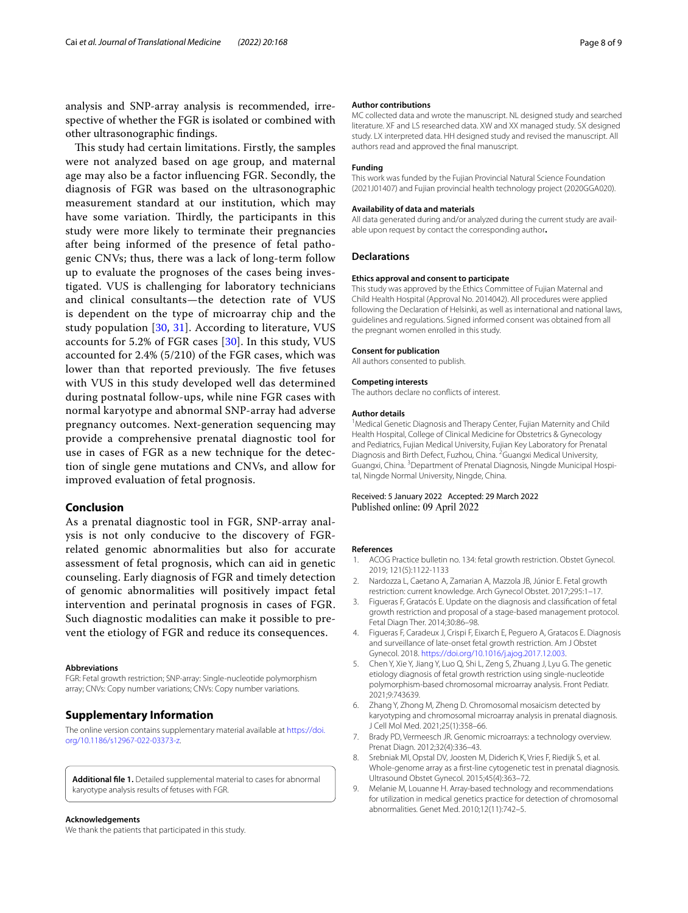analysis and SNP-array analysis is recommended, irrespective of whether the FGR is isolated or combined with other ultrasonographic fndings.

This study had certain limitations. Firstly, the samples were not analyzed based on age group, and maternal age may also be a factor infuencing FGR. Secondly, the diagnosis of FGR was based on the ultrasonographic measurement standard at our institution, which may have some variation. Thirdly, the participants in this study were more likely to terminate their pregnancies after being informed of the presence of fetal pathogenic CNVs; thus, there was a lack of long-term follow up to evaluate the prognoses of the cases being investigated. VUS is challenging for laboratory technicians and clinical consultants—the detection rate of VUS is dependent on the type of microarray chip and the study population  $[30, 31]$  $[30, 31]$  $[30, 31]$  $[30, 31]$  $[30, 31]$ . According to literature, VUS accounts for 5.2% of FGR cases [[30](#page-8-19)]. In this study, VUS accounted for 2.4% (5/210) of the FGR cases, which was lower than that reported previously. The five fetuses with VUS in this study developed well das determined during postnatal follow-ups, while nine FGR cases with normal karyotype and abnormal SNP-array had adverse pregnancy outcomes. Next-generation sequencing may provide a comprehensive prenatal diagnostic tool for use in cases of FGR as a new technique for the detection of single gene mutations and CNVs, and allow for improved evaluation of fetal prognosis.

#### **Conclusion**

As a prenatal diagnostic tool in FGR, SNP-array analysis is not only conducive to the discovery of FGRrelated genomic abnormalities but also for accurate assessment of fetal prognosis, which can aid in genetic counseling. Early diagnosis of FGR and timely detection of genomic abnormalities will positively impact fetal intervention and perinatal prognosis in cases of FGR. Such diagnostic modalities can make it possible to prevent the etiology of FGR and reduce its consequences.

#### **Abbreviations**

FGR: Fetal growth restriction; SNP-array: Single-nucleotide polymorphism array; CNVs: Copy number variations; CNVs: Copy number variations.

#### **Supplementary Information**

The online version contains supplementary material available at [https://doi.](https://doi.org/10.1186/s12967-022-03373-z) [org/10.1186/s12967-022-03373-z.](https://doi.org/10.1186/s12967-022-03373-z)

<span id="page-7-9"></span>**Additional fle 1.** Detailed supplemental material to cases for abnormal karyotype analysis results of fetuses with FGR.

#### **Acknowledgements**

We thank the patients that participated in this study.

#### **Author contributions**

MC collected data and wrote the manuscript. NL designed study and searched literature. XF and LS researched data. XW and XX managed study. SX designed study. LX interpreted data. HH designed study and revised the manuscript. All authors read and approved the fnal manuscript.

#### **Funding**

This work was funded by the Fujian Provincial Natural Science Foundation (2021J01407) and Fujian provincial health technology project (2020GGA020).

#### **Availability of data and materials**

All data generated during and/or analyzed during the current study are available upon request by contact the corresponding author**.**

#### **Declarations**

#### **Ethics approval and consent to participate**

This study was approved by the Ethics Committee of Fujian Maternal and Child Health Hospital (Approval No. 2014042). All procedures were applied following the Declaration of Helsinki, as well as international and national laws, guidelines and regulations. Signed informed consent was obtained from all the pregnant women enrolled in this study.

#### **Consent for publication**

All authors consented to publish.

#### **Competing interests**

The authors declare no conficts of interest.

#### **Author details**

<sup>1</sup> Medical Genetic Diagnosis and Therapy Center, Fujian Maternity and Child Health Hospital, College of Clinical Medicine for Obstetrics & Gynecology and Pediatrics, Fujian Medical University, Fujian Key Laboratory for Prenatal Diagnosis and Birth Defect, Fuzhou, China. <sup>2</sup> Guangxi Medical University, Guangxi, China. <sup>3</sup> Department of Prenatal Diagnosis, Ningde Municipal Hospital, Ningde Normal University, Ningde, China.

#### Received: 5 January 2022 Accepted: 29 March 2022 Published online: 09 April 2022

#### **References**

- <span id="page-7-0"></span>1. ACOG Practice bulletin no. 134: fetal growth restriction. Obstet Gynecol. 2019; 121(5):1122-1133
- <span id="page-7-1"></span>2. Nardozza L, Caetano A, Zamarian A, Mazzola JB, Júnior E. Fetal growth restriction: current knowledge. Arch Gynecol Obstet. 2017;295:1–17.
- <span id="page-7-2"></span>3. Figueras F, Gratacós E. Update on the diagnosis and classifcation of fetal growth restriction and proposal of a stage-based management protocol. Fetal Diagn Ther. 2014;30:86–98.
- <span id="page-7-3"></span>4. Figueras F, Caradeux J, Crispi F, Eixarch E, Peguero A, Gratacos E. Diagnosis and surveillance of late-onset fetal growth restriction. Am J Obstet Gynecol. 2018. <https://doi.org/10.1016/j.ajog.2017.12.003>.
- <span id="page-7-4"></span>5. Chen Y, Xie Y, Jiang Y, Luo Q, Shi L, Zeng S, Zhuang J, Lyu G. The genetic etiology diagnosis of fetal growth restriction using single-nucleotide polymorphism-based chromosomal microarray analysis. Front Pediatr. 2021;9:743639.
- <span id="page-7-5"></span>6. Zhang Y, Zhong M, Zheng D. Chromosomal mosaicism detected by karyotyping and chromosomal microarray analysis in prenatal diagnosis. J Cell Mol Med. 2021;25(1):358–66.
- <span id="page-7-6"></span>7. Brady PD, Vermeesch JR. Genomic microarrays: a technology overview. Prenat Diagn. 2012;32(4):336–43.
- <span id="page-7-7"></span>8. Srebniak MI, Opstal DV, Joosten M, Diderich K, Vries F, Riedijk S, et al. Whole-genome array as a frst-line cytogenetic test in prenatal diagnosis. Ultrasound Obstet Gynecol. 2015;45(4):363–72.
- <span id="page-7-8"></span>9. Melanie M, Louanne H. Array-based technology and recommendations for utilization in medical genetics practice for detection of chromosomal abnormalities. Genet Med. 2010;12(11):742–5.